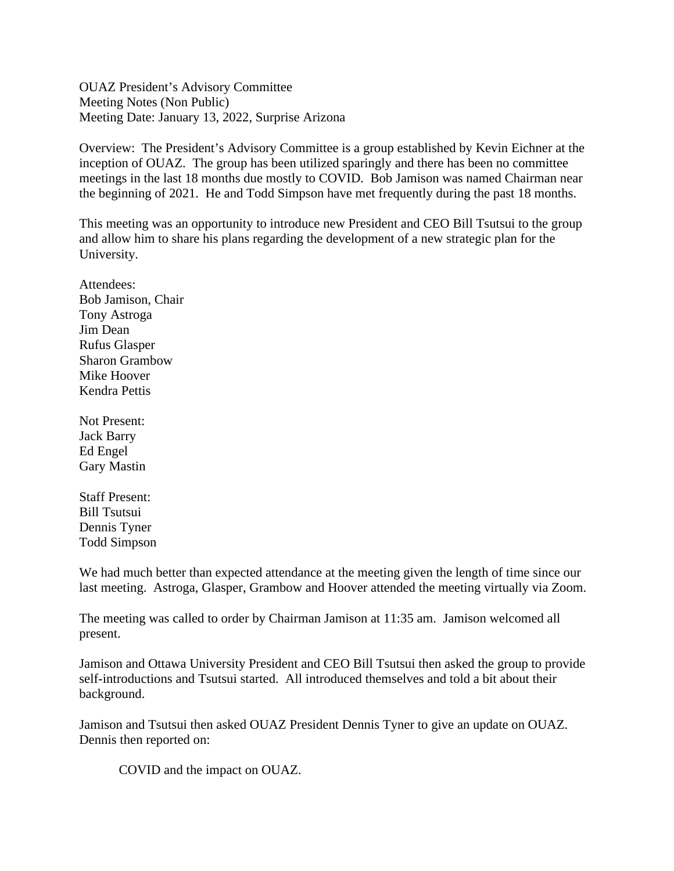OUAZ President's Advisory Committee Meeting Notes (Non Public) Meeting Date: January 13, 2022, Surprise Arizona

Overview: The President's Advisory Committee is a group established by Kevin Eichner at the inception of OUAZ. The group has been utilized sparingly and there has been no committee meetings in the last 18 months due mostly to COVID. Bob Jamison was named Chairman near the beginning of 2021. He and Todd Simpson have met frequently during the past 18 months.

This meeting was an opportunity to introduce new President and CEO Bill Tsutsui to the group and allow him to share his plans regarding the development of a new strategic plan for the University.

Attendees: Bob Jamison, Chair Tony Astroga Jim Dean Rufus Glasper Sharon Grambow Mike Hoover Kendra Pettis

Not Present: Jack Barry Ed Engel Gary Mastin

Staff Present: Bill Tsutsui Dennis Tyner Todd Simpson

We had much better than expected attendance at the meeting given the length of time since our last meeting. Astroga, Glasper, Grambow and Hoover attended the meeting virtually via Zoom.

The meeting was called to order by Chairman Jamison at 11:35 am. Jamison welcomed all present.

Jamison and Ottawa University President and CEO Bill Tsutsui then asked the group to provide self-introductions and Tsutsui started. All introduced themselves and told a bit about their background.

Jamison and Tsutsui then asked OUAZ President Dennis Tyner to give an update on OUAZ. Dennis then reported on:

COVID and the impact on OUAZ.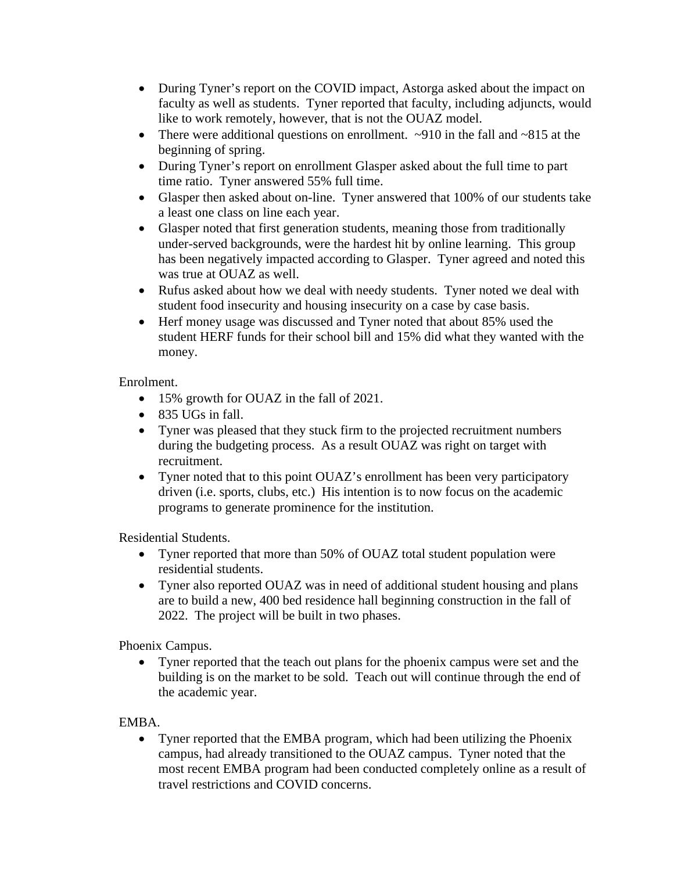- During Tyner's report on the COVID impact, Astorga asked about the impact on faculty as well as students. Tyner reported that faculty, including adjuncts, would like to work remotely, however, that is not the OUAZ model.
- There were additional questions on enrollment.  $\sim$ 910 in the fall and  $\sim$ 815 at the beginning of spring.
- During Tyner's report on enrollment Glasper asked about the full time to part time ratio. Tyner answered 55% full time.
- Glasper then asked about on-line. Tyner answered that 100% of our students take a least one class on line each year.
- Glasper noted that first generation students, meaning those from traditionally under-served backgrounds, were the hardest hit by online learning. This group has been negatively impacted according to Glasper. Tyner agreed and noted this was true at OUAZ as well.
- Rufus asked about how we deal with needy students. Tyner noted we deal with student food insecurity and housing insecurity on a case by case basis.
- Herf money usage was discussed and Tyner noted that about 85% used the student HERF funds for their school bill and 15% did what they wanted with the money.

## Enrolment.

- 15% growth for OUAZ in the fall of 2021.
- 835 UGs in fall.
- Tyner was pleased that they stuck firm to the projected recruitment numbers during the budgeting process. As a result OUAZ was right on target with recruitment.
- Tyner noted that to this point OUAZ's enrollment has been very participatory driven (i.e. sports, clubs, etc.) His intention is to now focus on the academic programs to generate prominence for the institution.

Residential Students.

- Tyner reported that more than 50% of OUAZ total student population were residential students.
- Tyner also reported OUAZ was in need of additional student housing and plans are to build a new, 400 bed residence hall beginning construction in the fall of 2022. The project will be built in two phases.

Phoenix Campus.

• Tyner reported that the teach out plans for the phoenix campus were set and the building is on the market to be sold. Teach out will continue through the end of the academic year.

EMBA.

• Tyner reported that the EMBA program, which had been utilizing the Phoenix campus, had already transitioned to the OUAZ campus. Tyner noted that the most recent EMBA program had been conducted completely online as a result of travel restrictions and COVID concerns.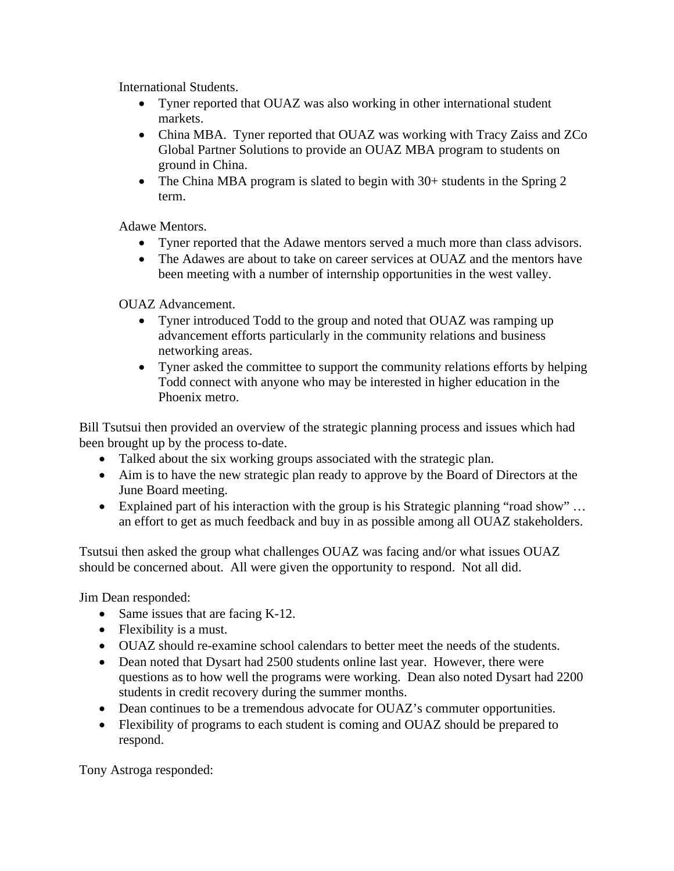International Students.

- Tyner reported that OUAZ was also working in other international student markets.
- China MBA. Tyner reported that OUAZ was working with Tracy Zaiss and ZCo Global Partner Solutions to provide an OUAZ MBA program to students on ground in China.
- The China MBA program is slated to begin with 30+ students in the Spring 2 term.

Adawe Mentors.

- Tyner reported that the Adawe mentors served a much more than class advisors.
- The Adawes are about to take on career services at OUAZ and the mentors have been meeting with a number of internship opportunities in the west valley.

OUAZ Advancement.

- Tyner introduced Todd to the group and noted that OUAZ was ramping up advancement efforts particularly in the community relations and business networking areas.
- Tyner asked the committee to support the community relations efforts by helping Todd connect with anyone who may be interested in higher education in the Phoenix metro.

Bill Tsutsui then provided an overview of the strategic planning process and issues which had been brought up by the process to-date.

- Talked about the six working groups associated with the strategic plan.
- Aim is to have the new strategic plan ready to approve by the Board of Directors at the June Board meeting.
- Explained part of his interaction with the group is his Strategic planning "road show" ... an effort to get as much feedback and buy in as possible among all OUAZ stakeholders.

Tsutsui then asked the group what challenges OUAZ was facing and/or what issues OUAZ should be concerned about. All were given the opportunity to respond. Not all did.

Jim Dean responded:

- Same issues that are facing K-12.
- Flexibility is a must.
- OUAZ should re-examine school calendars to better meet the needs of the students.
- Dean noted that Dysart had 2500 students online last year. However, there were questions as to how well the programs were working. Dean also noted Dysart had 2200 students in credit recovery during the summer months.
- Dean continues to be a tremendous advocate for OUAZ's commuter opportunities.
- Flexibility of programs to each student is coming and OUAZ should be prepared to respond.

Tony Astroga responded: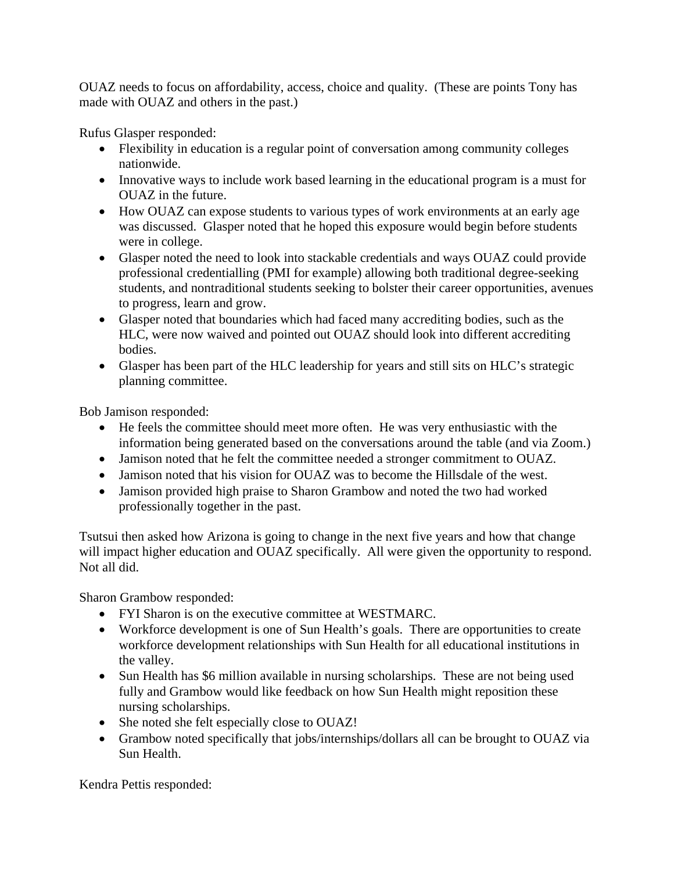OUAZ needs to focus on affordability, access, choice and quality. (These are points Tony has made with OUAZ and others in the past.)

Rufus Glasper responded:

- Flexibility in education is a regular point of conversation among community colleges nationwide.
- Innovative ways to include work based learning in the educational program is a must for OUAZ in the future.
- How OUAZ can expose students to various types of work environments at an early age was discussed. Glasper noted that he hoped this exposure would begin before students were in college.
- Glasper noted the need to look into stackable credentials and ways OUAZ could provide professional credentialling (PMI for example) allowing both traditional degree-seeking students, and nontraditional students seeking to bolster their career opportunities, avenues to progress, learn and grow.
- Glasper noted that boundaries which had faced many accrediting bodies, such as the HLC, were now waived and pointed out OUAZ should look into different accrediting bodies.
- Glasper has been part of the HLC leadership for years and still sits on HLC's strategic planning committee.

Bob Jamison responded:

- He feels the committee should meet more often. He was very enthusiastic with the information being generated based on the conversations around the table (and via Zoom.)
- Jamison noted that he felt the committee needed a stronger commitment to OUAZ.
- Jamison noted that his vision for OUAZ was to become the Hillsdale of the west.
- Jamison provided high praise to Sharon Grambow and noted the two had worked professionally together in the past.

Tsutsui then asked how Arizona is going to change in the next five years and how that change will impact higher education and OUAZ specifically. All were given the opportunity to respond. Not all did.

Sharon Grambow responded:

- FYI Sharon is on the executive committee at WESTMARC.
- Workforce development is one of Sun Health's goals. There are opportunities to create workforce development relationships with Sun Health for all educational institutions in the valley.
- Sun Health has \$6 million available in nursing scholarships. These are not being used fully and Grambow would like feedback on how Sun Health might reposition these nursing scholarships.
- She noted she felt especially close to OUAZ!
- Grambow noted specifically that jobs/internships/dollars all can be brought to OUAZ via Sun Health.

Kendra Pettis responded: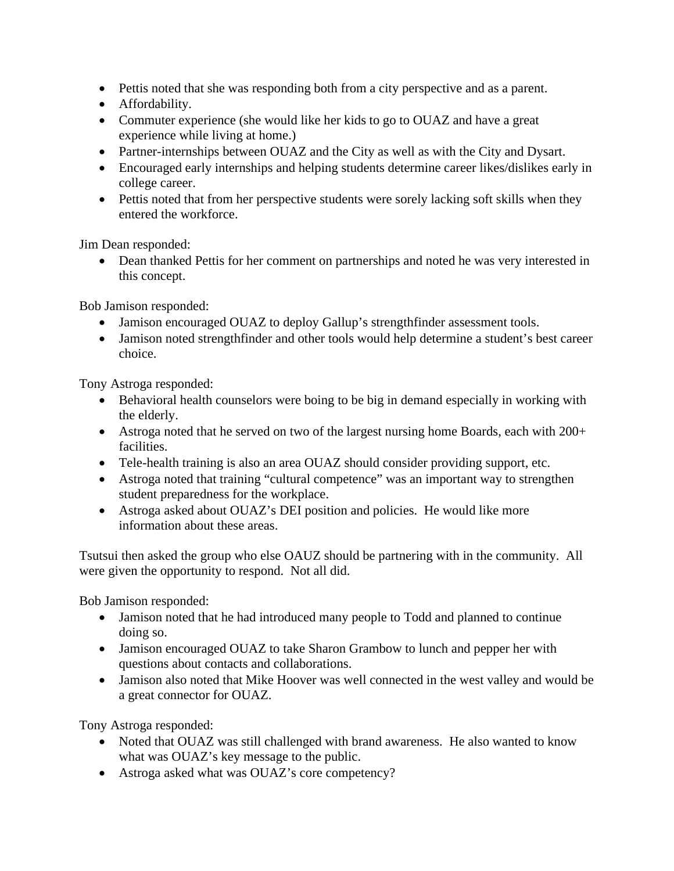- Pettis noted that she was responding both from a city perspective and as a parent.
- Affordability.
- Commuter experience (she would like her kids to go to OUAZ and have a great experience while living at home.)
- Partner-internships between OUAZ and the City as well as with the City and Dysart.
- Encouraged early internships and helping students determine career likes/dislikes early in college career.
- Pettis noted that from her perspective students were sorely lacking soft skills when they entered the workforce.

Jim Dean responded:

• Dean thanked Pettis for her comment on partnerships and noted he was very interested in this concept.

Bob Jamison responded:

- Jamison encouraged OUAZ to deploy Gallup's strengthfinder assessment tools.
- Jamison noted strengthfinder and other tools would help determine a student's best career choice.

Tony Astroga responded:

- Behavioral health counselors were boing to be big in demand especially in working with the elderly.
- Astroga noted that he served on two of the largest nursing home Boards, each with 200+ facilities.
- Tele-health training is also an area OUAZ should consider providing support, etc.
- Astroga noted that training "cultural competence" was an important way to strengthen student preparedness for the workplace.
- Astroga asked about OUAZ's DEI position and policies. He would like more information about these areas.

Tsutsui then asked the group who else OAUZ should be partnering with in the community. All were given the opportunity to respond. Not all did.

Bob Jamison responded:

- Jamison noted that he had introduced many people to Todd and planned to continue doing so.
- Jamison encouraged OUAZ to take Sharon Grambow to lunch and pepper her with questions about contacts and collaborations.
- Jamison also noted that Mike Hoover was well connected in the west valley and would be a great connector for OUAZ.

Tony Astroga responded:

- Noted that OUAZ was still challenged with brand awareness. He also wanted to know what was OUAZ's key message to the public.
- Astroga asked what was OUAZ's core competency?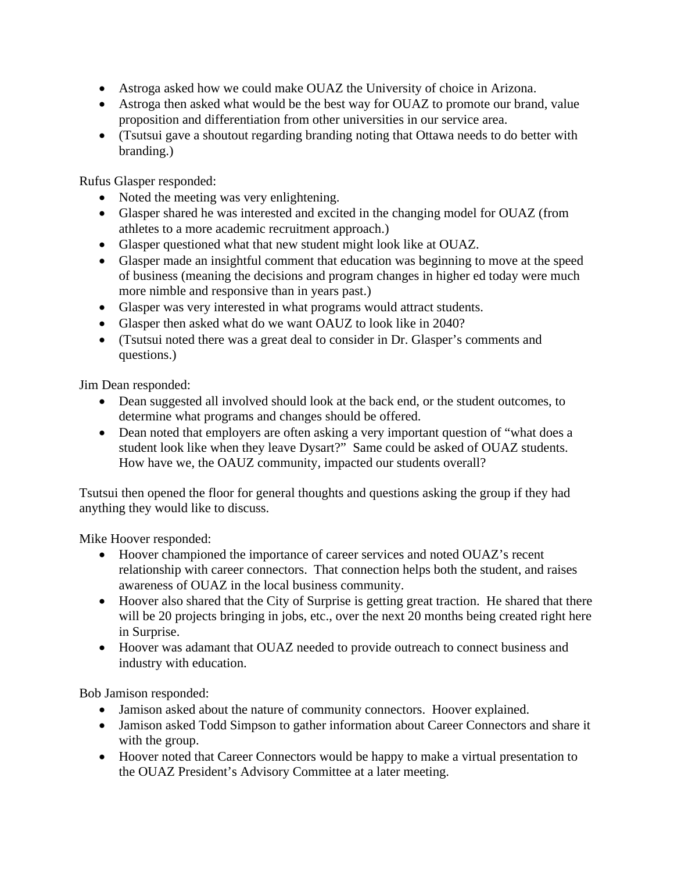- Astroga asked how we could make OUAZ the University of choice in Arizona.
- Astroga then asked what would be the best way for OUAZ to promote our brand, value proposition and differentiation from other universities in our service area.
- (Tsutsui gave a shoutout regarding branding noting that Ottawa needs to do better with branding.)

Rufus Glasper responded:

- Noted the meeting was very enlightening.
- Glasper shared he was interested and excited in the changing model for OUAZ (from athletes to a more academic recruitment approach.)
- Glasper questioned what that new student might look like at OUAZ.
- Glasper made an insightful comment that education was beginning to move at the speed of business (meaning the decisions and program changes in higher ed today were much more nimble and responsive than in years past.)
- Glasper was very interested in what programs would attract students.
- Glasper then asked what do we want OAUZ to look like in 2040?
- (Tsutsui noted there was a great deal to consider in Dr. Glasper's comments and questions.)

Jim Dean responded:

- Dean suggested all involved should look at the back end, or the student outcomes, to determine what programs and changes should be offered.
- Dean noted that employers are often asking a very important question of "what does a student look like when they leave Dysart?" Same could be asked of OUAZ students. How have we, the OAUZ community, impacted our students overall?

Tsutsui then opened the floor for general thoughts and questions asking the group if they had anything they would like to discuss.

Mike Hoover responded:

- Hoover championed the importance of career services and noted OUAZ's recent relationship with career connectors. That connection helps both the student, and raises awareness of OUAZ in the local business community.
- Hoover also shared that the City of Surprise is getting great traction. He shared that there will be 20 projects bringing in jobs, etc., over the next 20 months being created right here in Surprise.
- Hoover was adamant that OUAZ needed to provide outreach to connect business and industry with education.

Bob Jamison responded:

- Jamison asked about the nature of community connectors. Hoover explained.
- Jamison asked Todd Simpson to gather information about Career Connectors and share it with the group.
- Hoover noted that Career Connectors would be happy to make a virtual presentation to the OUAZ President's Advisory Committee at a later meeting.